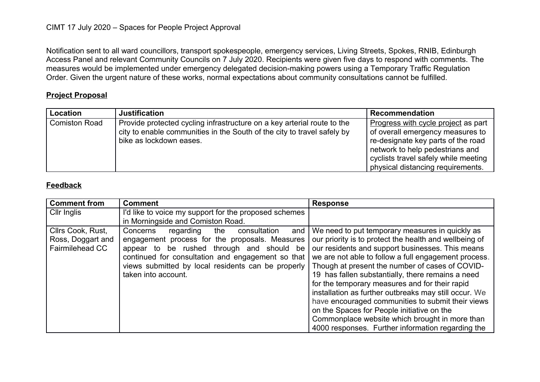Notification sent to all ward councillors, transport spokespeople, emergency services, Living Streets, Spokes, RNIB, Edinburgh Access Panel and relevant Community Councils on 7 July 2020. Recipients were given five days to respond with comments. The measures would be implemented under emergency delegated decision-making powers using a Temporary Traffic Regulation Order. Given the urgent nature of these works, normal expectations about community consultations cannot be fulfilled.

## **Project Proposal**

| <b>Location</b>      | <b>Justification</b>                                                                                                                                                          | Recommendation                                                                                                                                                                                                                |
|----------------------|-------------------------------------------------------------------------------------------------------------------------------------------------------------------------------|-------------------------------------------------------------------------------------------------------------------------------------------------------------------------------------------------------------------------------|
| <b>Comiston Road</b> | Provide protected cycling infrastructure on a key arterial route to the<br>city to enable communities in the South of the city to travel safely by<br>bike as lockdown eases. | Progress with cycle project as part<br>of overall emergency measures to<br>re-designate key parts of the road<br>network to help pedestrians and<br>cyclists travel safely while meeting<br>physical distancing requirements. |

## **Feedback**

| <b>Comment from</b>    | <b>Comment</b>                                        | <b>Response</b>                                        |
|------------------------|-------------------------------------------------------|--------------------------------------------------------|
| Cllr Inglis            | I'd like to voice my support for the proposed schemes |                                                        |
|                        | in Morningside and Comiston Road.                     |                                                        |
| Cllrs Cook, Rust,      | Concerns<br>consultation<br>regarding<br>the<br>and   | We need to put temporary measures in quickly as        |
| Ross, Doggart and      | engagement process for the proposals. Measures        | our priority is to protect the health and wellbeing of |
| <b>Fairmilehead CC</b> | appear to be rushed through and should be             | our residents and support businesses. This means       |
|                        | continued for consultation and engagement so that     | we are not able to follow a full engagement process.   |
|                        | views submitted by local residents can be properly    | Though at present the number of cases of COVID-        |
|                        | taken into account.                                   | 19 has fallen substantially, there remains a need      |
|                        |                                                       | for the temporary measures and for their rapid         |
|                        |                                                       | installation as further outbreaks may still occur. We  |
|                        |                                                       | have encouraged communities to submit their views      |
|                        |                                                       | on the Spaces for People initiative on the             |
|                        |                                                       | Commonplace website which brought in more than         |
|                        |                                                       | 4000 responses. Further information regarding the      |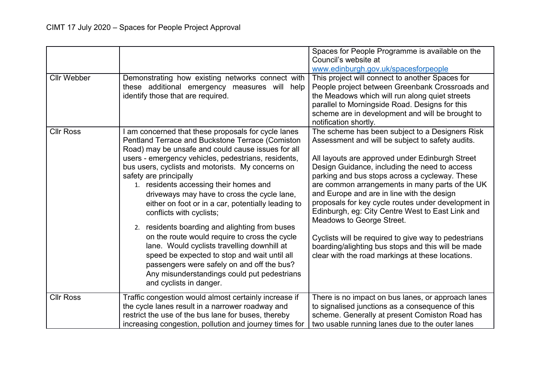|                    |                                                                                                                                                                                                                                                                                                                                                                                                                                                                                                                                                                                                                                                                                                                                                                                                        | Spaces for People Programme is available on the<br>Council's website at<br>www.edinburgh.gov.uk/spacesforpeople                                                                                                                                                                                                                                                                                                                                                                                                                                                                                                                                                      |
|--------------------|--------------------------------------------------------------------------------------------------------------------------------------------------------------------------------------------------------------------------------------------------------------------------------------------------------------------------------------------------------------------------------------------------------------------------------------------------------------------------------------------------------------------------------------------------------------------------------------------------------------------------------------------------------------------------------------------------------------------------------------------------------------------------------------------------------|----------------------------------------------------------------------------------------------------------------------------------------------------------------------------------------------------------------------------------------------------------------------------------------------------------------------------------------------------------------------------------------------------------------------------------------------------------------------------------------------------------------------------------------------------------------------------------------------------------------------------------------------------------------------|
| <b>Cllr Webber</b> | Demonstrating how existing networks connect with<br>these additional emergency measures will help<br>identify those that are required.                                                                                                                                                                                                                                                                                                                                                                                                                                                                                                                                                                                                                                                                 | This project will connect to another Spaces for<br>People project between Greenbank Crossroads and<br>the Meadows which will run along quiet streets<br>parallel to Morningside Road. Designs for this<br>scheme are in development and will be brought to<br>notification shortly.                                                                                                                                                                                                                                                                                                                                                                                  |
| <b>Cllr Ross</b>   | am concerned that these proposals for cycle lanes<br>Pentland Terrace and Buckstone Terrace (Comiston<br>Road) may be unsafe and could cause issues for all<br>users - emergency vehicles, pedestrians, residents,<br>bus users, cyclists and motorists. My concerns on<br>safety are principally<br>1. residents accessing their homes and<br>driveways may have to cross the cycle lane,<br>either on foot or in a car, potentially leading to<br>conflicts with cyclists;<br>2. residents boarding and alighting from buses<br>on the route would require to cross the cycle<br>lane. Would cyclists travelling downhill at<br>speed be expected to stop and wait until all<br>passengers were safely on and off the bus?<br>Any misunderstandings could put pedestrians<br>and cyclists in danger. | The scheme has been subject to a Designers Risk<br>Assessment and will be subject to safety audits.<br>All layouts are approved under Edinburgh Street<br>Design Guidance, including the need to access<br>parking and bus stops across a cycleway. These<br>are common arrangements in many parts of the UK<br>and Europe and are in line with the design<br>proposals for key cycle routes under development in<br>Edinburgh, eg: City Centre West to East Link and<br>Meadows to George Street.<br>Cyclists will be required to give way to pedestrians<br>boarding/alighting bus stops and this will be made<br>clear with the road markings at these locations. |
| <b>Cllr Ross</b>   | Traffic congestion would almost certainly increase if<br>the cycle lanes result in a narrower roadway and<br>restrict the use of the bus lane for buses, thereby<br>increasing congestion, pollution and journey times for                                                                                                                                                                                                                                                                                                                                                                                                                                                                                                                                                                             | There is no impact on bus lanes, or approach lanes<br>to signalised junctions as a consequence of this<br>scheme. Generally at present Comiston Road has<br>two usable running lanes due to the outer lanes                                                                                                                                                                                                                                                                                                                                                                                                                                                          |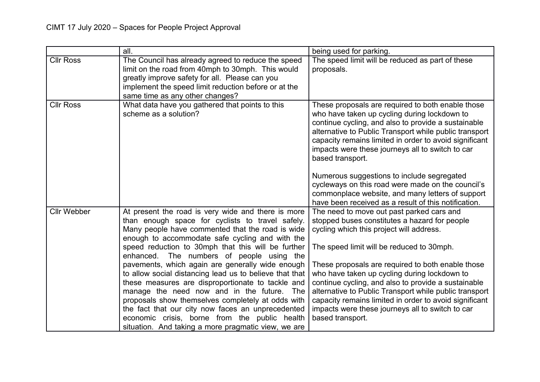|                    | all.                                                                                                                                                                                                                                                                                                                                                                                                                                                                                                                                | being used for parking.                                                                                                                                                                                                                                                                                                                                                                            |
|--------------------|-------------------------------------------------------------------------------------------------------------------------------------------------------------------------------------------------------------------------------------------------------------------------------------------------------------------------------------------------------------------------------------------------------------------------------------------------------------------------------------------------------------------------------------|----------------------------------------------------------------------------------------------------------------------------------------------------------------------------------------------------------------------------------------------------------------------------------------------------------------------------------------------------------------------------------------------------|
| <b>Cllr Ross</b>   | The Council has already agreed to reduce the speed<br>limit on the road from 40mph to 30mph. This would<br>greatly improve safety for all. Please can you<br>implement the speed limit reduction before or at the<br>same time as any other changes?                                                                                                                                                                                                                                                                                | The speed limit will be reduced as part of these<br>proposals.                                                                                                                                                                                                                                                                                                                                     |
| <b>Cllr Ross</b>   | What data have you gathered that points to this<br>scheme as a solution?                                                                                                                                                                                                                                                                                                                                                                                                                                                            | These proposals are required to both enable those<br>who have taken up cycling during lockdown to<br>continue cycling, and also to provide a sustainable<br>alternative to Public Transport while public transport<br>capacity remains limited in order to avoid significant<br>impacts were these journeys all to switch to car<br>based transport.<br>Numerous suggestions to include segregated |
|                    |                                                                                                                                                                                                                                                                                                                                                                                                                                                                                                                                     | cycleways on this road were made on the council's<br>commonplace website, and many letters of support<br>have been received as a result of this notification.                                                                                                                                                                                                                                      |
| <b>Cllr Webber</b> | At present the road is very wide and there is more<br>than enough space for cyclists to travel safely.<br>Many people have commented that the road is wide<br>enough to accommodate safe cycling and with the                                                                                                                                                                                                                                                                                                                       | The need to move out past parked cars and<br>stopped buses constitutes a hazard for people<br>cycling which this project will address.                                                                                                                                                                                                                                                             |
|                    | speed reduction to 30mph that this will be further<br>enhanced. The numbers of people using the<br>pavements, which again are generally wide enough<br>to allow social distancing lead us to believe that that<br>these measures are disproportionate to tackle and<br>manage the need now and in the future. The<br>proposals show themselves completely at odds with<br>the fact that our city now faces an unprecedented<br>economic crisis, borne from the public health<br>situation. And taking a more pragmatic view, we are | The speed limit will be reduced to 30mph.<br>These proposals are required to both enable those<br>who have taken up cycling during lockdown to<br>continue cycling, and also to provide a sustainable<br>alternative to Public Transport while public transport<br>capacity remains limited in order to avoid significant<br>impacts were these journeys all to switch to car<br>based transport.  |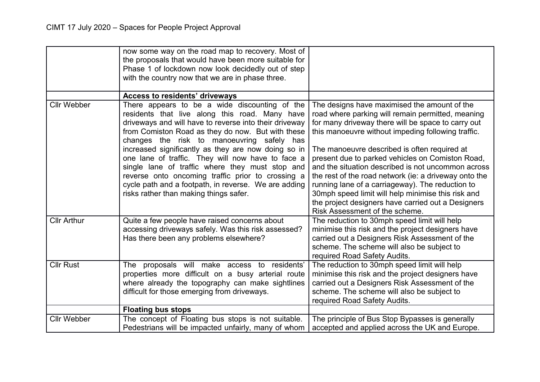|                    | now some way on the road map to recovery. Most of<br>the proposals that would have been more suitable for<br>Phase 1 of lockdown now look decidedly out of step<br>with the country now that we are in phase three.                                                                                                                                                                                                                                                                                                                                                                |                                                                                                                                                                                                                                                                                                                                                                                                                                                                                                                                                                                                                                    |
|--------------------|------------------------------------------------------------------------------------------------------------------------------------------------------------------------------------------------------------------------------------------------------------------------------------------------------------------------------------------------------------------------------------------------------------------------------------------------------------------------------------------------------------------------------------------------------------------------------------|------------------------------------------------------------------------------------------------------------------------------------------------------------------------------------------------------------------------------------------------------------------------------------------------------------------------------------------------------------------------------------------------------------------------------------------------------------------------------------------------------------------------------------------------------------------------------------------------------------------------------------|
|                    | Access to residents' driveways                                                                                                                                                                                                                                                                                                                                                                                                                                                                                                                                                     |                                                                                                                                                                                                                                                                                                                                                                                                                                                                                                                                                                                                                                    |
| <b>Cllr Webber</b> | There appears to be a wide discounting of the<br>residents that live along this road. Many have<br>driveways and will have to reverse into their driveway<br>from Comiston Road as they do now. But with these<br>changes the risk to manoeuvring safely has<br>increased significantly as they are now doing so in<br>one lane of traffic. They will now have to face a<br>single lane of traffic where they must stop and<br>reverse onto oncoming traffic prior to crossing a<br>cycle path and a footpath, in reverse. We are adding<br>risks rather than making things safer. | The designs have maximised the amount of the<br>road where parking will remain permitted, meaning<br>for many driveway there will be space to carry out<br>this manoeuvre without impeding following traffic.<br>The manoeuvre described is often required at<br>present due to parked vehicles on Comiston Road,<br>and the situation described is not uncommon across<br>the rest of the road network (ie: a driveway onto the<br>running lane of a carriageway). The reduction to<br>30mph speed limit will help minimise this risk and<br>the project designers have carried out a Designers<br>Risk Assessment of the scheme. |
| <b>Cllr Arthur</b> | Quite a few people have raised concerns about<br>accessing driveways safely. Was this risk assessed?<br>Has there been any problems elsewhere?                                                                                                                                                                                                                                                                                                                                                                                                                                     | The reduction to 30mph speed limit will help<br>minimise this risk and the project designers have<br>carried out a Designers Risk Assessment of the<br>scheme. The scheme will also be subject to<br>required Road Safety Audits.                                                                                                                                                                                                                                                                                                                                                                                                  |
| <b>Cllr Rust</b>   | The proposals will make access to residents'<br>properties more difficult on a busy arterial route<br>where already the topography can make sightlines<br>difficult for those emerging from driveways.                                                                                                                                                                                                                                                                                                                                                                             | The reduction to 30mph speed limit will help<br>minimise this risk and the project designers have<br>carried out a Designers Risk Assessment of the<br>scheme. The scheme will also be subject to<br>required Road Safety Audits.                                                                                                                                                                                                                                                                                                                                                                                                  |
|                    | <b>Floating bus stops</b>                                                                                                                                                                                                                                                                                                                                                                                                                                                                                                                                                          |                                                                                                                                                                                                                                                                                                                                                                                                                                                                                                                                                                                                                                    |
| <b>Cllr Webber</b> | The concept of Floating bus stops is not suitable.<br>Pedestrians will be impacted unfairly, many of whom                                                                                                                                                                                                                                                                                                                                                                                                                                                                          | The principle of Bus Stop Bypasses is generally<br>accepted and applied across the UK and Europe.                                                                                                                                                                                                                                                                                                                                                                                                                                                                                                                                  |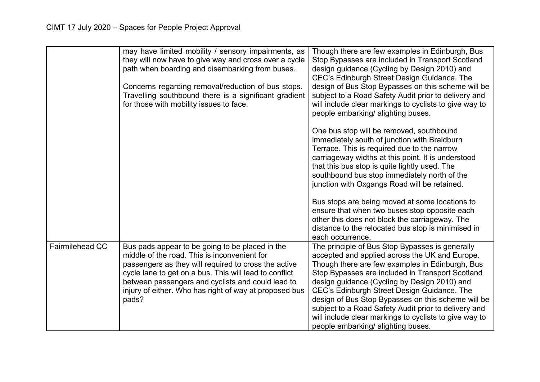|                        | may have limited mobility / sensory impairments, as<br>they will now have to give way and cross over a cycle<br>path when boarding and disembarking from buses.<br>Concerns regarding removal/reduction of bus stops.<br>Travelling southbound there is a significant gradient<br>for those with mobility issues to face.                 | Though there are few examples in Edinburgh, Bus<br>Stop Bypasses are included in Transport Scotland<br>design guidance (Cycling by Design 2010) and<br>CEC's Edinburgh Street Design Guidance. The<br>design of Bus Stop Bypasses on this scheme will be<br>subject to a Road Safety Audit prior to delivery and<br>will include clear markings to cyclists to give way to<br>people embarking/ alighting buses.                                                                                                      |
|------------------------|-------------------------------------------------------------------------------------------------------------------------------------------------------------------------------------------------------------------------------------------------------------------------------------------------------------------------------------------|-----------------------------------------------------------------------------------------------------------------------------------------------------------------------------------------------------------------------------------------------------------------------------------------------------------------------------------------------------------------------------------------------------------------------------------------------------------------------------------------------------------------------|
|                        |                                                                                                                                                                                                                                                                                                                                           | One bus stop will be removed, southbound<br>immediately south of junction with Braidburn<br>Terrace. This is required due to the narrow<br>carriageway widths at this point. It is understood<br>that this bus stop is quite lightly used. The<br>southbound bus stop immediately north of the<br>junction with Oxgangs Road will be retained.                                                                                                                                                                        |
|                        |                                                                                                                                                                                                                                                                                                                                           | Bus stops are being moved at some locations to<br>ensure that when two buses stop opposite each<br>other this does not block the carriageway. The<br>distance to the relocated bus stop is minimised in<br>each occurrence.                                                                                                                                                                                                                                                                                           |
| <b>Fairmilehead CC</b> | Bus pads appear to be going to be placed in the<br>middle of the road. This is inconvenient for<br>passengers as they will required to cross the active<br>cycle lane to get on a bus. This will lead to conflict<br>between passengers and cyclists and could lead to<br>injury of either. Who has right of way at proposed bus<br>pads? | The principle of Bus Stop Bypasses is generally<br>accepted and applied across the UK and Europe.<br>Though there are few examples in Edinburgh, Bus<br>Stop Bypasses are included in Transport Scotland<br>design guidance (Cycling by Design 2010) and<br>CEC's Edinburgh Street Design Guidance. The<br>design of Bus Stop Bypasses on this scheme will be<br>subject to a Road Safety Audit prior to delivery and<br>will include clear markings to cyclists to give way to<br>people embarking/ alighting buses. |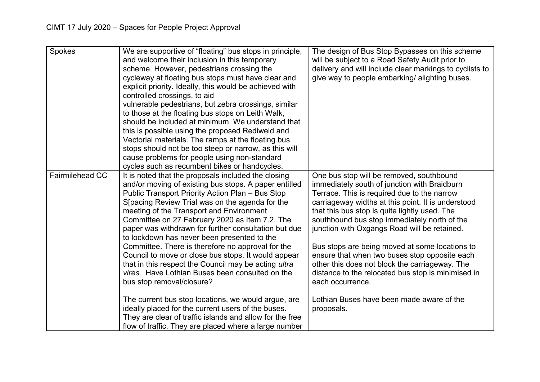| Spokes                 | We are supportive of "floating" bus stops in principle,<br>and welcome their inclusion in this temporary<br>scheme. However, pedestrians crossing the<br>cycleway at floating bus stops must have clear and<br>explicit priority. Ideally, this would be achieved with<br>controlled crossings, to aid<br>vulnerable pedestrians, but zebra crossings, similar<br>to those at the floating bus stops on Leith Walk,<br>should be included at minimum. We understand that<br>this is possible using the proposed Rediweld and<br>Vectorial materials. The ramps at the floating bus<br>stops should not be too steep or narrow, as this will<br>cause problems for people using non-standard<br>cycles such as recumbent bikes or handcycles.                                                                                                                                                                   | The design of Bus Stop Bypasses on this scheme<br>will be subject to a Road Safety Audit prior to<br>delivery and will include clear markings to cyclists to<br>give way to people embarking/ alighting buses.                                                                                                                                                                                                                                                                                                                                                                                                                           |
|------------------------|----------------------------------------------------------------------------------------------------------------------------------------------------------------------------------------------------------------------------------------------------------------------------------------------------------------------------------------------------------------------------------------------------------------------------------------------------------------------------------------------------------------------------------------------------------------------------------------------------------------------------------------------------------------------------------------------------------------------------------------------------------------------------------------------------------------------------------------------------------------------------------------------------------------|------------------------------------------------------------------------------------------------------------------------------------------------------------------------------------------------------------------------------------------------------------------------------------------------------------------------------------------------------------------------------------------------------------------------------------------------------------------------------------------------------------------------------------------------------------------------------------------------------------------------------------------|
| <b>Fairmilehead CC</b> | It is noted that the proposals included the closing<br>and/or moving of existing bus stops. A paper entitled<br>Public Transport Priority Action Plan - Bus Stop<br>S[pacing Review Trial was on the agenda for the<br>meeting of the Transport and Environment<br>Committee on 27 February 2020 as Item 7.2. The<br>paper was withdrawn for further consultation but due<br>to lockdown has never been presented to the<br>Committee. There is therefore no approval for the<br>Council to move or close bus stops. It would appear<br>that in this respect the Council may be acting ultra<br>vires. Have Lothian Buses been consulted on the<br>bus stop removal/closure?<br>The current bus stop locations, we would argue, are<br>ideally placed for the current users of the buses.<br>They are clear of traffic islands and allow for the free<br>flow of traffic. They are placed where a large number | One bus stop will be removed, southbound<br>immediately south of junction with Braidburn<br>Terrace. This is required due to the narrow<br>carriageway widths at this point. It is understood<br>that this bus stop is quite lightly used. The<br>southbound bus stop immediately north of the<br>junction with Oxgangs Road will be retained.<br>Bus stops are being moved at some locations to<br>ensure that when two buses stop opposite each<br>other this does not block the carriageway. The<br>distance to the relocated bus stop is minimised in<br>each occurrence.<br>Lothian Buses have been made aware of the<br>proposals. |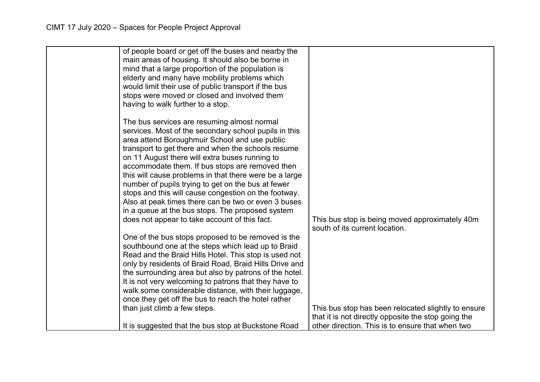| of people board or get off the buses and nearby the<br>main areas of housing. It should also be borne in<br>mind that a large proportion of the population is<br>elderly and many have mobility problems which<br>would limit their use of public transport if the bus<br>stops were moved or closed and involved them<br>having to walk further to a stop.                                                                                                                                                                                                                                                                                          |                                                                                                            |
|------------------------------------------------------------------------------------------------------------------------------------------------------------------------------------------------------------------------------------------------------------------------------------------------------------------------------------------------------------------------------------------------------------------------------------------------------------------------------------------------------------------------------------------------------------------------------------------------------------------------------------------------------|------------------------------------------------------------------------------------------------------------|
| The bus services are resuming almost normal<br>services. Most of the secondary school pupils in this<br>area attend Boroughmuir School and use public<br>transport to get there and when the schools resume<br>on 11 August there will extra buses running to<br>accommodate them. If bus stops are removed then<br>this will cause problems in that there were be a large<br>number of pupils trying to get on the bus at fewer<br>stops and this will cause congestion on the footway.<br>Also at peak times there can be two or even 3 buses<br>in a queue at the bus stops. The proposed system<br>does not appear to take account of this fact. | This bus stop is being moved approximately 40m<br>south of its current location.                           |
| One of the bus stops proposed to be removed is the<br>southbound one at the steps which lead up to Braid<br>Read and the Braid Hills Hotel. This stop is used not<br>only by residents of Braid Road, Braid Hills Drive and<br>the surrounding area but also by patrons of the hotel.<br>It is not very welcoming to patrons that they have to<br>walk some considerable distance, with their luggage,<br>once they get off the bus to reach the hotel rather<br>than just climb a few steps.                                                                                                                                                        | This bus stop has been relocated slightly to ensure<br>that it is not directly opposite the stop going the |
| It is suggested that the bus stop at Buckstone Road                                                                                                                                                                                                                                                                                                                                                                                                                                                                                                                                                                                                  | other direction. This is to ensure that when two                                                           |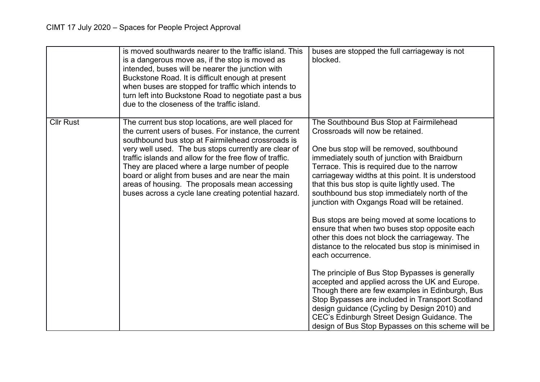|                  | is moved southwards nearer to the traffic island. This<br>is a dangerous move as, if the stop is moved as<br>intended, buses will be nearer the junction with<br>Buckstone Road. It is difficult enough at present<br>when buses are stopped for traffic which intends to<br>turn left into Buckstone Road to negotiate past a bus<br>due to the closeness of the traffic island.                                                                                                                    | buses are stopped the full carriageway is not<br>blocked.                                                                                                                                                                                                                                                                                                                                                                                                                                                                                                                                                                                                                                                                                                                                                                                                                                                                                                                                                                     |
|------------------|------------------------------------------------------------------------------------------------------------------------------------------------------------------------------------------------------------------------------------------------------------------------------------------------------------------------------------------------------------------------------------------------------------------------------------------------------------------------------------------------------|-------------------------------------------------------------------------------------------------------------------------------------------------------------------------------------------------------------------------------------------------------------------------------------------------------------------------------------------------------------------------------------------------------------------------------------------------------------------------------------------------------------------------------------------------------------------------------------------------------------------------------------------------------------------------------------------------------------------------------------------------------------------------------------------------------------------------------------------------------------------------------------------------------------------------------------------------------------------------------------------------------------------------------|
| <b>Cllr Rust</b> | The current bus stop locations, are well placed for<br>the current users of buses. For instance, the current<br>southbound bus stop at Fairmilehead crossroads is<br>very well used. The bus stops currently are clear of<br>traffic islands and allow for the free flow of traffic.<br>They are placed where a large number of people<br>board or alight from buses and are near the main<br>areas of housing. The proposals mean accessing<br>buses across a cycle lane creating potential hazard. | The Southbound Bus Stop at Fairmilehead<br>Crossroads will now be retained.<br>One bus stop will be removed, southbound<br>immediately south of junction with Braidburn<br>Terrace. This is required due to the narrow<br>carriageway widths at this point. It is understood<br>that this bus stop is quite lightly used. The<br>southbound bus stop immediately north of the<br>junction with Oxgangs Road will be retained.<br>Bus stops are being moved at some locations to<br>ensure that when two buses stop opposite each<br>other this does not block the carriageway. The<br>distance to the relocated bus stop is minimised in<br>each occurrence.<br>The principle of Bus Stop Bypasses is generally<br>accepted and applied across the UK and Europe.<br>Though there are few examples in Edinburgh, Bus<br>Stop Bypasses are included in Transport Scotland<br>design guidance (Cycling by Design 2010) and<br>CEC's Edinburgh Street Design Guidance. The<br>design of Bus Stop Bypasses on this scheme will be |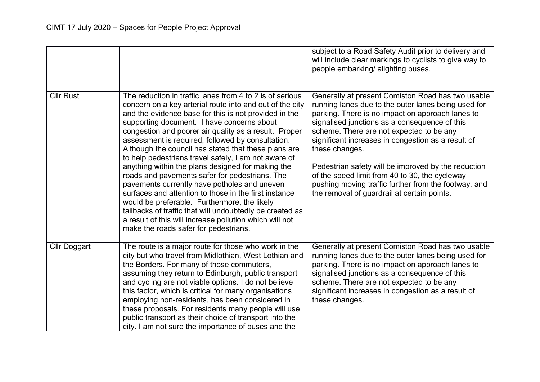|                     |                                                                                                                                                                                                                                                                                                                                                                                                                                                                                                                                                                                                                                                                                                                                                                                                                                                                                           | subject to a Road Safety Audit prior to delivery and<br>will include clear markings to cyclists to give way to<br>people embarking/ alighting buses.                                                                                                                                                                                                                                                                                                                                                                                              |
|---------------------|-------------------------------------------------------------------------------------------------------------------------------------------------------------------------------------------------------------------------------------------------------------------------------------------------------------------------------------------------------------------------------------------------------------------------------------------------------------------------------------------------------------------------------------------------------------------------------------------------------------------------------------------------------------------------------------------------------------------------------------------------------------------------------------------------------------------------------------------------------------------------------------------|---------------------------------------------------------------------------------------------------------------------------------------------------------------------------------------------------------------------------------------------------------------------------------------------------------------------------------------------------------------------------------------------------------------------------------------------------------------------------------------------------------------------------------------------------|
| <b>Cllr Rust</b>    | The reduction in traffic lanes from 4 to 2 is of serious<br>concern on a key arterial route into and out of the city<br>and the evidence base for this is not provided in the<br>supporting document. I have concerns about<br>congestion and poorer air quality as a result. Proper<br>assessment is required, followed by consultation.<br>Although the council has stated that these plans are<br>to help pedestrians travel safely, I am not aware of<br>anything within the plans designed for making the<br>roads and pavements safer for pedestrians. The<br>pavements currently have potholes and uneven<br>surfaces and attention to those in the first instance<br>would be preferable. Furthermore, the likely<br>tailbacks of traffic that will undoubtedly be created as<br>a result of this will increase pollution which will not<br>make the roads safer for pedestrians. | Generally at present Comiston Road has two usable<br>running lanes due to the outer lanes being used for<br>parking. There is no impact on approach lanes to<br>signalised junctions as a consequence of this<br>scheme. There are not expected to be any<br>significant increases in congestion as a result of<br>these changes.<br>Pedestrian safety will be improved by the reduction<br>of the speed limit from 40 to 30, the cycleway<br>pushing moving traffic further from the footway, and<br>the removal of guardrail at certain points. |
| <b>Cllr Doggart</b> | The route is a major route for those who work in the<br>city but who travel from Midlothian, West Lothian and<br>the Borders. For many of those commuters,<br>assuming they return to Edinburgh, public transport<br>and cycling are not viable options. I do not believe<br>this factor, which is critical for many organisations<br>employing non-residents, has been considered in<br>these proposals. For residents many people will use<br>public transport as their choice of transport into the<br>city. I am not sure the importance of buses and the                                                                                                                                                                                                                                                                                                                             | Generally at present Comiston Road has two usable<br>running lanes due to the outer lanes being used for<br>parking. There is no impact on approach lanes to<br>signalised junctions as a consequence of this<br>scheme. There are not expected to be any<br>significant increases in congestion as a result of<br>these changes.                                                                                                                                                                                                                 |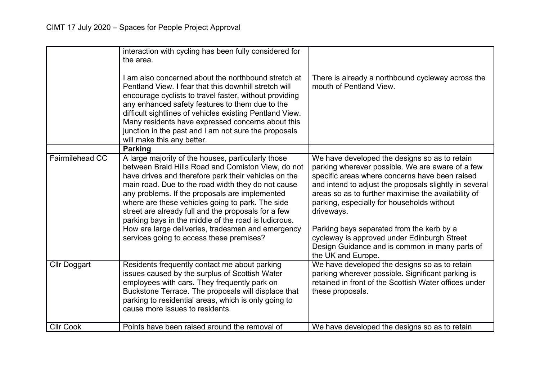|                        | interaction with cycling has been fully considered for<br>the area.<br>I am also concerned about the northbound stretch at<br>Pentland View. I fear that this downhill stretch will<br>encourage cyclists to travel faster, without providing<br>any enhanced safety features to them due to the<br>difficult sightlines of vehicles existing Pentland View.<br>Many residents have expressed concerns about this<br>junction in the past and I am not sure the proposals<br>will make this any better.                                      | There is already a northbound cycleway across the<br>mouth of Pentland View.                                                                                                                                                                                                                                                                                                                                                                                                                         |
|------------------------|----------------------------------------------------------------------------------------------------------------------------------------------------------------------------------------------------------------------------------------------------------------------------------------------------------------------------------------------------------------------------------------------------------------------------------------------------------------------------------------------------------------------------------------------|------------------------------------------------------------------------------------------------------------------------------------------------------------------------------------------------------------------------------------------------------------------------------------------------------------------------------------------------------------------------------------------------------------------------------------------------------------------------------------------------------|
|                        | <b>Parking</b>                                                                                                                                                                                                                                                                                                                                                                                                                                                                                                                               |                                                                                                                                                                                                                                                                                                                                                                                                                                                                                                      |
| <b>Fairmilehead CC</b> | A large majority of the houses, particularly those<br>between Braid Hills Road and Comiston View, do not<br>have drives and therefore park their vehicles on the<br>main road. Due to the road width they do not cause<br>any problems. If the proposals are implemented<br>where are these vehicles going to park. The side<br>street are already full and the proposals for a few<br>parking bays in the middle of the road is ludicrous.<br>How are large deliveries, tradesmen and emergency<br>services going to access these premises? | We have developed the designs so as to retain<br>parking wherever possible. We are aware of a few<br>specific areas where concerns have been raised<br>and intend to adjust the proposals slightly in several<br>areas so as to further maximise the availability of<br>parking, especially for households without<br>driveways.<br>Parking bays separated from the kerb by a<br>cycleway is approved under Edinburgh Street<br>Design Guidance and is common in many parts of<br>the UK and Europe. |
| <b>Cllr Doggart</b>    | Residents frequently contact me about parking<br>issues caused by the surplus of Scottish Water<br>employees with cars. They frequently park on<br>Buckstone Terrace. The proposals will displace that<br>parking to residential areas, which is only going to<br>cause more issues to residents.                                                                                                                                                                                                                                            | We have developed the designs so as to retain<br>parking wherever possible. Significant parking is<br>retained in front of the Scottish Water offices under<br>these proposals.                                                                                                                                                                                                                                                                                                                      |
| <b>Cllr Cook</b>       | Points have been raised around the removal of                                                                                                                                                                                                                                                                                                                                                                                                                                                                                                | We have developed the designs so as to retain                                                                                                                                                                                                                                                                                                                                                                                                                                                        |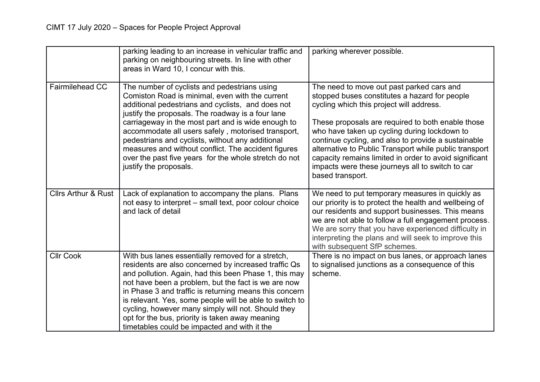|                                | parking leading to an increase in vehicular traffic and<br>parking on neighbouring streets. In line with other<br>areas in Ward 10, I concur with this.                                                                                                                                                                                                                                                                                                                                                             | parking wherever possible.                                                                                                                                                                                                                                                                                                                                                                                                                                                                     |
|--------------------------------|---------------------------------------------------------------------------------------------------------------------------------------------------------------------------------------------------------------------------------------------------------------------------------------------------------------------------------------------------------------------------------------------------------------------------------------------------------------------------------------------------------------------|------------------------------------------------------------------------------------------------------------------------------------------------------------------------------------------------------------------------------------------------------------------------------------------------------------------------------------------------------------------------------------------------------------------------------------------------------------------------------------------------|
| <b>Fairmilehead CC</b>         | The number of cyclists and pedestrians using<br>Comiston Road is minimal, even with the current<br>additional pedestrians and cyclists, and does not<br>justify the proposals. The roadway is a four lane<br>carriageway in the most part and is wide enough to<br>accommodate all users safely, motorised transport,<br>pedestrians and cyclists, without any additional<br>measures and without conflict. The accident figures<br>over the past five years for the whole stretch do not<br>justify the proposals. | The need to move out past parked cars and<br>stopped buses constitutes a hazard for people<br>cycling which this project will address.<br>These proposals are required to both enable those<br>who have taken up cycling during lockdown to<br>continue cycling, and also to provide a sustainable<br>alternative to Public Transport while public transport<br>capacity remains limited in order to avoid significant<br>impacts were these journeys all to switch to car<br>based transport. |
| <b>Cllrs Arthur &amp; Rust</b> | Lack of explanation to accompany the plans. Plans<br>not easy to interpret – small text, poor colour choice<br>and lack of detail                                                                                                                                                                                                                                                                                                                                                                                   | We need to put temporary measures in quickly as<br>our priority is to protect the health and wellbeing of<br>our residents and support businesses. This means<br>we are not able to follow a full engagement process.<br>We are sorry that you have experienced difficulty in<br>interpreting the plans and will seek to improve this<br>with subsequent SfP schemes.                                                                                                                          |
| <b>Cllr Cook</b>               | With bus lanes essentially removed for a stretch,<br>residents are also concerned by increased traffic Qs<br>and pollution. Again, had this been Phase 1, this may<br>not have been a problem, but the fact is we are now<br>in Phase 3 and traffic is returning means this concern<br>is relevant. Yes, some people will be able to switch to<br>cycling, however many simply will not. Should they<br>opt for the bus, priority is taken away meaning<br>timetables could be impacted and with it the             | There is no impact on bus lanes, or approach lanes<br>to signalised junctions as a consequence of this<br>scheme.                                                                                                                                                                                                                                                                                                                                                                              |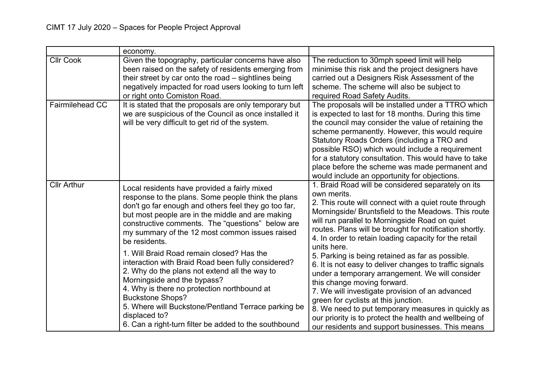|                    | economy.                                                                                                                                                                                                                                                                                                                                                                                                                                                                                                                                                                                                                                                                                                                            |                                                                                                                                                                                                                                                                                                                                                                                                                                                                                                                                                                                                                                                                                                                                                                                                                                        |
|--------------------|-------------------------------------------------------------------------------------------------------------------------------------------------------------------------------------------------------------------------------------------------------------------------------------------------------------------------------------------------------------------------------------------------------------------------------------------------------------------------------------------------------------------------------------------------------------------------------------------------------------------------------------------------------------------------------------------------------------------------------------|----------------------------------------------------------------------------------------------------------------------------------------------------------------------------------------------------------------------------------------------------------------------------------------------------------------------------------------------------------------------------------------------------------------------------------------------------------------------------------------------------------------------------------------------------------------------------------------------------------------------------------------------------------------------------------------------------------------------------------------------------------------------------------------------------------------------------------------|
| <b>Cllr Cook</b>   | Given the topography, particular concerns have also<br>been raised on the safety of residents emerging from<br>their street by car onto the road – sightlines being<br>negatively impacted for road users looking to turn left<br>or right onto Comiston Road.                                                                                                                                                                                                                                                                                                                                                                                                                                                                      | The reduction to 30mph speed limit will help<br>minimise this risk and the project designers have<br>carried out a Designers Risk Assessment of the<br>scheme. The scheme will also be subject to<br>required Road Safety Audits.                                                                                                                                                                                                                                                                                                                                                                                                                                                                                                                                                                                                      |
| Fairmilehead CC    | It is stated that the proposals are only temporary but<br>we are suspicious of the Council as once installed it<br>will be very difficult to get rid of the system.                                                                                                                                                                                                                                                                                                                                                                                                                                                                                                                                                                 | The proposals will be installed under a TTRO which<br>is expected to last for 18 months. During this time<br>the council may consider the value of retaining the<br>scheme permanently. However, this would require<br>Statutory Roads Orders (including a TRO and<br>possible RSO) which would include a requirement<br>for a statutory consultation. This would have to take<br>place before the scheme was made permanent and<br>would include an opportunity for objections.                                                                                                                                                                                                                                                                                                                                                       |
| <b>Cllr Arthur</b> | Local residents have provided a fairly mixed<br>response to the plans. Some people think the plans<br>don't go far enough and others feel they go too far,<br>but most people are in the middle and are making<br>constructive comments. The "questions" below are<br>my summary of the 12 most common issues raised<br>be residents.<br>1. Will Braid Road remain closed? Has the<br>interaction with Braid Road been fully considered?<br>2. Why do the plans not extend all the way to<br>Morningside and the bypass?<br>4. Why is there no protection northbound at<br><b>Buckstone Shops?</b><br>5. Where will Buckstone/Pentland Terrace parking be<br>displaced to?<br>6. Can a right-turn filter be added to the southbound | 1. Braid Road will be considered separately on its<br>own merits.<br>2. This route will connect with a quiet route through<br>Morningside/ Bruntsfield to the Meadows. This route<br>will run parallel to Morningside Road on quiet<br>routes. Plans will be brought for notification shortly.<br>4. In order to retain loading capacity for the retail<br>units here.<br>5. Parking is being retained as far as possible.<br>6. It is not easy to deliver changes to traffic signals<br>under a temporary arrangement. We will consider<br>this change moving forward.<br>7. We will investigate provision of an advanced<br>green for cyclists at this junction.<br>8. We need to put temporary measures in quickly as<br>our priority is to protect the health and wellbeing of<br>our residents and support businesses. This means |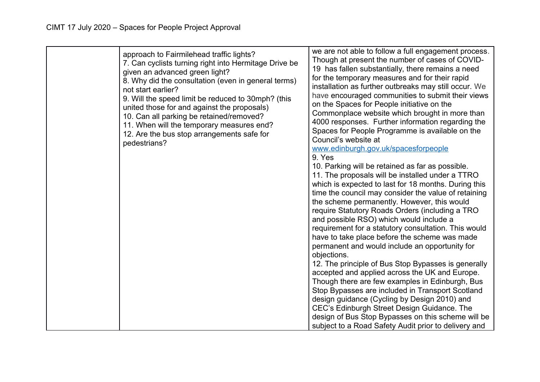| approach to Fairmilehead traffic lights?<br>7. Can cyclists turning right into Hermitage Drive be<br>given an advanced green light?<br>8. Why did the consultation (even in general terms)<br>not start earlier?<br>9. Will the speed limit be reduced to 30mph? (this<br>united those for and against the proposals)<br>10. Can all parking be retained/removed?<br>11. When will the temporary measures end?<br>12. Are the bus stop arrangements safe for<br>pedestrians? | we are not able to follow a full engagement process.<br>Though at present the number of cases of COVID-<br>19 has fallen substantially, there remains a need<br>for the temporary measures and for their rapid<br>installation as further outbreaks may still occur. We<br>have encouraged communities to submit their views<br>on the Spaces for People initiative on the<br>Commonplace website which brought in more than<br>4000 responses. Further information regarding the<br>Spaces for People Programme is available on the<br>Council's website at<br>www.edinburgh.gov.uk/spacesforpeople<br>9. Yes<br>10. Parking will be retained as far as possible.<br>11. The proposals will be installed under a TTRO<br>which is expected to last for 18 months. During this<br>time the council may consider the value of retaining<br>the scheme permanently. However, this would<br>require Statutory Roads Orders (including a TRO<br>and possible RSO) which would include a<br>requirement for a statutory consultation. This would<br>have to take place before the scheme was made<br>permanent and would include an opportunity for<br>objections.<br>12. The principle of Bus Stop Bypasses is generally<br>accepted and applied across the UK and Europe.<br>Though there are few examples in Edinburgh, Bus<br>Stop Bypasses are included in Transport Scotland<br>design guidance (Cycling by Design 2010) and<br>CEC's Edinburgh Street Design Guidance. The<br>design of Bus Stop Bypasses on this scheme will be<br>subject to a Road Safety Audit prior to delivery and |
|------------------------------------------------------------------------------------------------------------------------------------------------------------------------------------------------------------------------------------------------------------------------------------------------------------------------------------------------------------------------------------------------------------------------------------------------------------------------------|--------------------------------------------------------------------------------------------------------------------------------------------------------------------------------------------------------------------------------------------------------------------------------------------------------------------------------------------------------------------------------------------------------------------------------------------------------------------------------------------------------------------------------------------------------------------------------------------------------------------------------------------------------------------------------------------------------------------------------------------------------------------------------------------------------------------------------------------------------------------------------------------------------------------------------------------------------------------------------------------------------------------------------------------------------------------------------------------------------------------------------------------------------------------------------------------------------------------------------------------------------------------------------------------------------------------------------------------------------------------------------------------------------------------------------------------------------------------------------------------------------------------------------------------------------------------------------------------|
|------------------------------------------------------------------------------------------------------------------------------------------------------------------------------------------------------------------------------------------------------------------------------------------------------------------------------------------------------------------------------------------------------------------------------------------------------------------------------|--------------------------------------------------------------------------------------------------------------------------------------------------------------------------------------------------------------------------------------------------------------------------------------------------------------------------------------------------------------------------------------------------------------------------------------------------------------------------------------------------------------------------------------------------------------------------------------------------------------------------------------------------------------------------------------------------------------------------------------------------------------------------------------------------------------------------------------------------------------------------------------------------------------------------------------------------------------------------------------------------------------------------------------------------------------------------------------------------------------------------------------------------------------------------------------------------------------------------------------------------------------------------------------------------------------------------------------------------------------------------------------------------------------------------------------------------------------------------------------------------------------------------------------------------------------------------------------------|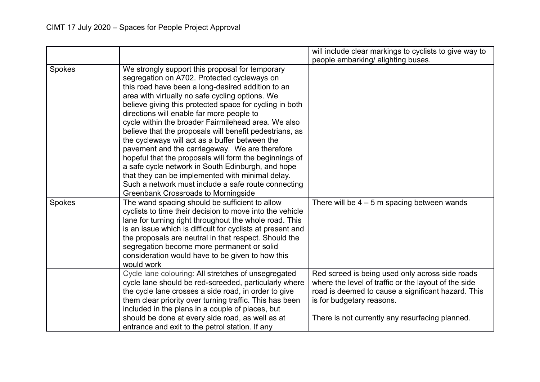|               |                                                                                                                                                                                                                                                                                                                                                                                                                                                                                                                                                                                                                                                                                                                                                                                                              | will include clear markings to cyclists to give way to                                                                                                                                                                                        |
|---------------|--------------------------------------------------------------------------------------------------------------------------------------------------------------------------------------------------------------------------------------------------------------------------------------------------------------------------------------------------------------------------------------------------------------------------------------------------------------------------------------------------------------------------------------------------------------------------------------------------------------------------------------------------------------------------------------------------------------------------------------------------------------------------------------------------------------|-----------------------------------------------------------------------------------------------------------------------------------------------------------------------------------------------------------------------------------------------|
|               |                                                                                                                                                                                                                                                                                                                                                                                                                                                                                                                                                                                                                                                                                                                                                                                                              | people embarking/ alighting buses.                                                                                                                                                                                                            |
| <b>Spokes</b> | We strongly support this proposal for temporary<br>segregation on A702. Protected cycleways on<br>this road have been a long-desired addition to an<br>area with virtually no safe cycling options. We<br>believe giving this protected space for cycling in both<br>directions will enable far more people to<br>cycle within the broader Fairmilehead area. We also<br>believe that the proposals will benefit pedestrians, as<br>the cycleways will act as a buffer between the<br>pavement and the carriageway. We are therefore<br>hopeful that the proposals will form the beginnings of<br>a safe cycle network in South Edinburgh, and hope<br>that they can be implemented with minimal delay.<br>Such a network must include a safe route connecting<br><b>Greenbank Crossroads to Morningside</b> |                                                                                                                                                                                                                                               |
| Spokes        | The wand spacing should be sufficient to allow<br>cyclists to time their decision to move into the vehicle<br>lane for turning right throughout the whole road. This<br>is an issue which is difficult for cyclists at present and<br>the proposals are neutral in that respect. Should the<br>segregation become more permanent or solid<br>consideration would have to be given to how this<br>would work                                                                                                                                                                                                                                                                                                                                                                                                  | There will be $4 - 5$ m spacing between wands                                                                                                                                                                                                 |
|               | Cycle lane colouring: All stretches of unsegregated<br>cycle lane should be red-screeded, particularly where<br>the cycle lane crosses a side road, in order to give<br>them clear priority over turning traffic. This has been<br>included in the plans in a couple of places, but<br>should be done at every side road, as well as at<br>entrance and exit to the petrol station. If any                                                                                                                                                                                                                                                                                                                                                                                                                   | Red screed is being used only across side roads<br>where the level of traffic or the layout of the side<br>road is deemed to cause a significant hazard. This<br>is for budgetary reasons.<br>There is not currently any resurfacing planned. |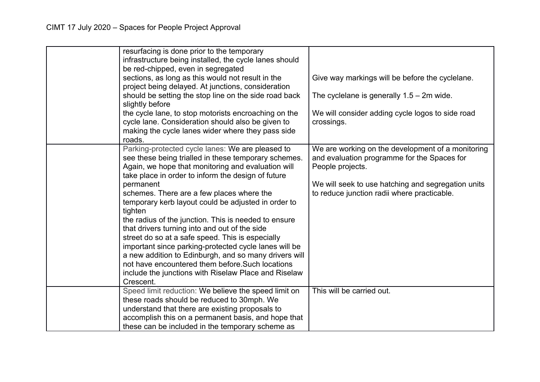| resurfacing is done prior to the temporary<br>infrastructure being installed, the cycle lanes should<br>be red-chipped, even in segregated<br>sections, as long as this would not result in the                                                                                                                                                                                                                                                                                                                                                                                                                                                                                     | Give way markings will be before the cyclelane.                                                                                                                                                                           |
|-------------------------------------------------------------------------------------------------------------------------------------------------------------------------------------------------------------------------------------------------------------------------------------------------------------------------------------------------------------------------------------------------------------------------------------------------------------------------------------------------------------------------------------------------------------------------------------------------------------------------------------------------------------------------------------|---------------------------------------------------------------------------------------------------------------------------------------------------------------------------------------------------------------------------|
| project being delayed. At junctions, consideration<br>should be setting the stop line on the side road back                                                                                                                                                                                                                                                                                                                                                                                                                                                                                                                                                                         | The cyclelane is generally $1.5 - 2m$ wide.                                                                                                                                                                               |
| the cycle lane, to stop motorists encroaching on the<br>cycle lane. Consideration should also be given to<br>making the cycle lanes wider where they pass side<br>roads.                                                                                                                                                                                                                                                                                                                                                                                                                                                                                                            | We will consider adding cycle logos to side road<br>crossings.                                                                                                                                                            |
| Parking-protected cycle lanes: We are pleased to<br>see these being trialled in these temporary schemes.<br>Again, we hope that monitoring and evaluation will<br>take place in order to inform the design of future<br>permanent<br>schemes. There are a few places where the<br>temporary kerb layout could be adjusted in order to<br>tighten<br>the radius of the junction. This is needed to ensure<br>that drivers turning into and out of the side<br>street do so at a safe speed. This is especially<br>important since parking-protected cycle lanes will be<br>a new addition to Edinburgh, and so many drivers will<br>not have encountered them before. Such locations | We are working on the development of a monitoring<br>and evaluation programme for the Spaces for<br>People projects.<br>We will seek to use hatching and segregation units<br>to reduce junction radii where practicable. |
| Crescent.                                                                                                                                                                                                                                                                                                                                                                                                                                                                                                                                                                                                                                                                           |                                                                                                                                                                                                                           |
| Speed limit reduction: We believe the speed limit on<br>these roads should be reduced to 30mph. We<br>understand that there are existing proposals to<br>accomplish this on a permanent basis, and hope that                                                                                                                                                                                                                                                                                                                                                                                                                                                                        | This will be carried out.                                                                                                                                                                                                 |
|                                                                                                                                                                                                                                                                                                                                                                                                                                                                                                                                                                                                                                                                                     | slightly before<br>include the junctions with Riselaw Place and Riselaw<br>these can be included in the temporary scheme as                                                                                               |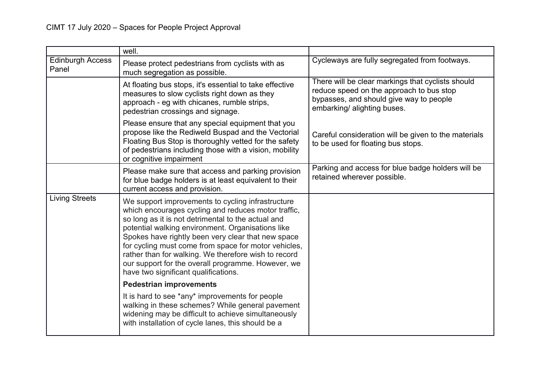|                                  | well.                                                                                                                                                                                                                                                                                                                                                                                                                                                                                   |                                                                                                                                                                         |
|----------------------------------|-----------------------------------------------------------------------------------------------------------------------------------------------------------------------------------------------------------------------------------------------------------------------------------------------------------------------------------------------------------------------------------------------------------------------------------------------------------------------------------------|-------------------------------------------------------------------------------------------------------------------------------------------------------------------------|
| <b>Edinburgh Access</b><br>Panel | Please protect pedestrians from cyclists with as<br>much segregation as possible.                                                                                                                                                                                                                                                                                                                                                                                                       | Cycleways are fully segregated from footways.                                                                                                                           |
|                                  | At floating bus stops, it's essential to take effective<br>measures to slow cyclists right down as they<br>approach - eg with chicanes, rumble strips,<br>pedestrian crossings and signage.                                                                                                                                                                                                                                                                                             | There will be clear markings that cyclists should<br>reduce speed on the approach to bus stop<br>bypasses, and should give way to people<br>embarking/ alighting buses. |
|                                  | Please ensure that any special equipment that you<br>propose like the Rediweld Buspad and the Vectorial<br>Floating Bus Stop is thoroughly vetted for the safety<br>of pedestrians including those with a vision, mobility<br>or cognitive impairment                                                                                                                                                                                                                                   | Careful consideration will be given to the materials<br>to be used for floating bus stops.                                                                              |
|                                  | Please make sure that access and parking provision<br>for blue badge holders is at least equivalent to their<br>current access and provision.                                                                                                                                                                                                                                                                                                                                           | Parking and access for blue badge holders will be<br>retained wherever possible.                                                                                        |
| <b>Living Streets</b>            | We support improvements to cycling infrastructure<br>which encourages cycling and reduces motor traffic,<br>so long as it is not detrimental to the actual and<br>potential walking environment. Organisations like<br>Spokes have rightly been very clear that new space<br>for cycling must come from space for motor vehicles,<br>rather than for walking. We therefore wish to record<br>our support for the overall programme. However, we<br>have two significant qualifications. |                                                                                                                                                                         |
|                                  | <b>Pedestrian improvements</b>                                                                                                                                                                                                                                                                                                                                                                                                                                                          |                                                                                                                                                                         |
|                                  | It is hard to see *any* improvements for people<br>walking in these schemes? While general pavement<br>widening may be difficult to achieve simultaneously<br>with installation of cycle lanes, this should be a                                                                                                                                                                                                                                                                        |                                                                                                                                                                         |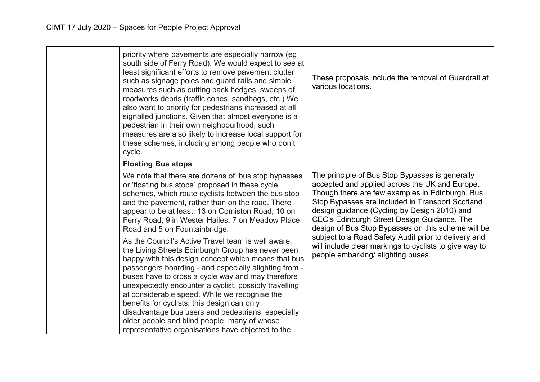| priority where pavements are especially narrow (eg<br>south side of Ferry Road). We would expect to see at<br>least significant efforts to remove pavement clutter<br>such as signage poles and guard rails and simple<br>measures such as cutting back hedges, sweeps of<br>roadworks debris (traffic cones, sandbags, etc.) We<br>also want to priority for pedestrians increased at all<br>signalled junctions. Given that almost everyone is a<br>pedestrian in their own neighbourhood, such<br>measures are also likely to increase local support for<br>these schemes, including among people who don't<br>cycle. | These proposals include the removal of Guardrail at<br>various locations.                                                                                                                                                                                                                                                                                     |
|--------------------------------------------------------------------------------------------------------------------------------------------------------------------------------------------------------------------------------------------------------------------------------------------------------------------------------------------------------------------------------------------------------------------------------------------------------------------------------------------------------------------------------------------------------------------------------------------------------------------------|---------------------------------------------------------------------------------------------------------------------------------------------------------------------------------------------------------------------------------------------------------------------------------------------------------------------------------------------------------------|
| <b>Floating Bus stops</b>                                                                                                                                                                                                                                                                                                                                                                                                                                                                                                                                                                                                |                                                                                                                                                                                                                                                                                                                                                               |
| We note that there are dozens of 'bus stop bypasses'<br>or 'floating bus stops' proposed in these cycle<br>schemes, which route cyclists between the bus stop<br>and the pavement, rather than on the road. There<br>appear to be at least: 13 on Comiston Road, 10 on<br>Ferry Road, 9 in Wester Hailes, 7 on Meadow Place<br>Road and 5 on Fountainbridge.                                                                                                                                                                                                                                                             | The principle of Bus Stop Bypasses is generally<br>accepted and applied across the UK and Europe.<br>Though there are few examples in Edinburgh, Bus<br>Stop Bypasses are included in Transport Scotland<br>design guidance (Cycling by Design 2010) and<br>CEC's Edinburgh Street Design Guidance. The<br>design of Bus Stop Bypasses on this scheme will be |
| As the Council's Active Travel team is well aware,<br>the Living Streets Edinburgh Group has never been<br>happy with this design concept which means that bus<br>passengers boarding - and especially alighting from -<br>buses have to cross a cycle way and may therefore<br>unexpectedly encounter a cyclist, possibly travelling<br>at considerable speed. While we recognise the<br>benefits for cyclists, this design can only<br>disadvantage bus users and pedestrians, especially<br>older people and blind people, many of whose<br>representative organisations have objected to the                         | subject to a Road Safety Audit prior to delivery and<br>will include clear markings to cyclists to give way to<br>people embarking/ alighting buses.                                                                                                                                                                                                          |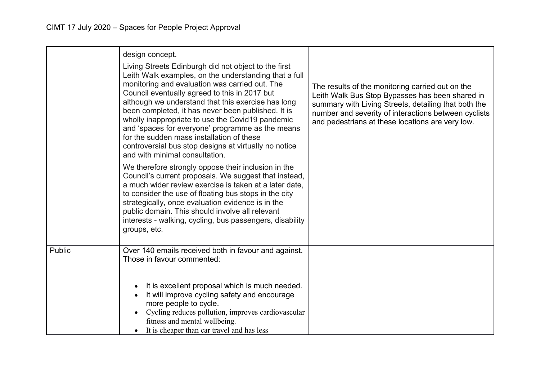|        | design concept.<br>Living Streets Edinburgh did not object to the first<br>Leith Walk examples, on the understanding that a full<br>monitoring and evaluation was carried out. The<br>Council eventually agreed to this in 2017 but<br>although we understand that this exercise has long<br>been completed, it has never been published. It is<br>wholly inappropriate to use the Covid19 pandemic<br>and 'spaces for everyone' programme as the means<br>for the sudden mass installation of these<br>controversial bus stop designs at virtually no notice<br>and with minimal consultation. | The results of the monitoring carried out on the<br>Leith Walk Bus Stop Bypasses has been shared in<br>summary with Living Streets, detailing that both the<br>number and severity of interactions between cyclists<br>and pedestrians at these locations are very low. |
|--------|-------------------------------------------------------------------------------------------------------------------------------------------------------------------------------------------------------------------------------------------------------------------------------------------------------------------------------------------------------------------------------------------------------------------------------------------------------------------------------------------------------------------------------------------------------------------------------------------------|-------------------------------------------------------------------------------------------------------------------------------------------------------------------------------------------------------------------------------------------------------------------------|
|        | We therefore strongly oppose their inclusion in the<br>Council's current proposals. We suggest that instead,<br>a much wider review exercise is taken at a later date,<br>to consider the use of floating bus stops in the city<br>strategically, once evaluation evidence is in the<br>public domain. This should involve all relevant<br>interests - walking, cycling, bus passengers, disability<br>groups, etc.                                                                                                                                                                             |                                                                                                                                                                                                                                                                         |
| Public | Over 140 emails received both in favour and against.<br>Those in favour commented:                                                                                                                                                                                                                                                                                                                                                                                                                                                                                                              |                                                                                                                                                                                                                                                                         |
|        | It is excellent proposal which is much needed.<br>It will improve cycling safety and encourage<br>more people to cycle.<br>Cycling reduces pollution, improves cardiovascular<br>fitness and mental wellbeing.<br>It is cheaper than car travel and has less                                                                                                                                                                                                                                                                                                                                    |                                                                                                                                                                                                                                                                         |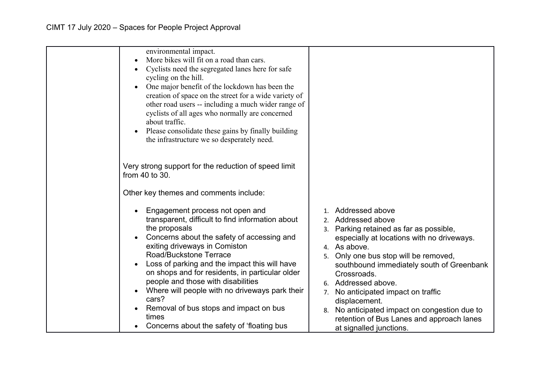| environmental impact.<br>More bikes will fit on a road than cars. |                                                  |
|-------------------------------------------------------------------|--------------------------------------------------|
|                                                                   |                                                  |
| Cyclists need the segregated lanes here for safe                  |                                                  |
| cycling on the hill.                                              |                                                  |
| One major benefit of the lockdown has been the                    |                                                  |
| creation of space on the street for a wide variety of             |                                                  |
| other road users -- including a much wider range of               |                                                  |
| cyclists of all ages who normally are concerned                   |                                                  |
| about traffic.                                                    |                                                  |
| Please consolidate these gains by finally building<br>$\bullet$   |                                                  |
| the infrastructure we so desperately need.                        |                                                  |
|                                                                   |                                                  |
|                                                                   |                                                  |
| Very strong support for the reduction of speed limit              |                                                  |
| from $40$ to $30$ .                                               |                                                  |
|                                                                   |                                                  |
| Other key themes and comments include:                            |                                                  |
|                                                                   |                                                  |
| Engagement process not open and                                   | 1. Addressed above                               |
| transparent, difficult to find information about                  | 2. Addressed above                               |
| the proposals                                                     | 3. Parking retained as far as possible,          |
| Concerns about the safety of accessing and                        | especially at locations with no driveways.       |
| exiting driveways in Comiston                                     | 4. As above.                                     |
| Road/Buckstone Terrace                                            | Only one bus stop will be removed,<br>5.         |
| Loss of parking and the impact this will have                     | southbound immediately south of Greenbank        |
| on shops and for residents, in particular older                   | Crossroads.                                      |
| people and those with disabilities                                | 6. Addressed above.                              |
| Where will people with no driveways park their                    | No anticipated impact on traffic<br>7.           |
| cars?                                                             | displacement.                                    |
| Removal of bus stops and impact on bus                            |                                                  |
| times                                                             | No anticipated impact on congestion due to<br>8. |
| Concerns about the safety of 'floating bus                        | retention of Bus Lanes and approach lanes        |
|                                                                   | at signalled junctions.                          |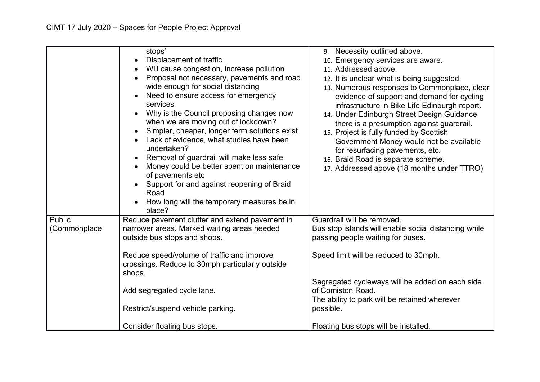| place?<br>Reduce pavement clutter and extend pavement in<br>Public<br>Guardrail will be removed.<br>narrower areas. Marked waiting areas needed<br>(Commonplace<br>Bus stop islands will enable social distancing while<br>outside bus stops and shops.<br>passing people waiting for buses.<br>Speed limit will be reduced to 30mph.<br>Reduce speed/volume of traffic and improve<br>crossings. Reduce to 30mph particularly outside<br>shops.<br>Segregated cycleways will be added on each side<br>of Comiston Road.<br>Add segregated cycle lane.<br>The ability to park will be retained wherever<br>possible.<br>Restrict/suspend vehicle parking. | stops'<br>Displacement of traffic<br>Will cause congestion, increase pollution<br>Proposal not necessary, pavements and road<br>wide enough for social distancing<br>Need to ensure access for emergency<br>services<br>Why is the Council proposing changes now<br>when we are moving out of lockdown?<br>Simpler, cheaper, longer term solutions exist<br>Lack of evidence, what studies have been<br>undertaken?<br>Removal of guardrail will make less safe<br>Money could be better spent on maintenance<br>of pavements etc<br>Support for and against reopening of Braid<br>Road<br>How long will the temporary measures be in | 9. Necessity outlined above.<br>10. Emergency services are aware.<br>11. Addressed above.<br>12. It is unclear what is being suggested.<br>13. Numerous responses to Commonplace, clear<br>evidence of support and demand for cycling<br>infrastructure in Bike Life Edinburgh report.<br>14. Under Edinburgh Street Design Guidance<br>there is a presumption against guardrail.<br>15. Project is fully funded by Scottish<br>Government Money would not be available<br>for resurfacing pavements, etc.<br>16. Braid Road is separate scheme.<br>17. Addressed above (18 months under TTRO) |
|-----------------------------------------------------------------------------------------------------------------------------------------------------------------------------------------------------------------------------------------------------------------------------------------------------------------------------------------------------------------------------------------------------------------------------------------------------------------------------------------------------------------------------------------------------------------------------------------------------------------------------------------------------------|---------------------------------------------------------------------------------------------------------------------------------------------------------------------------------------------------------------------------------------------------------------------------------------------------------------------------------------------------------------------------------------------------------------------------------------------------------------------------------------------------------------------------------------------------------------------------------------------------------------------------------------|------------------------------------------------------------------------------------------------------------------------------------------------------------------------------------------------------------------------------------------------------------------------------------------------------------------------------------------------------------------------------------------------------------------------------------------------------------------------------------------------------------------------------------------------------------------------------------------------|
| Consider floating bus stops.<br>Floating bus stops will be installed.                                                                                                                                                                                                                                                                                                                                                                                                                                                                                                                                                                                     |                                                                                                                                                                                                                                                                                                                                                                                                                                                                                                                                                                                                                                       |                                                                                                                                                                                                                                                                                                                                                                                                                                                                                                                                                                                                |